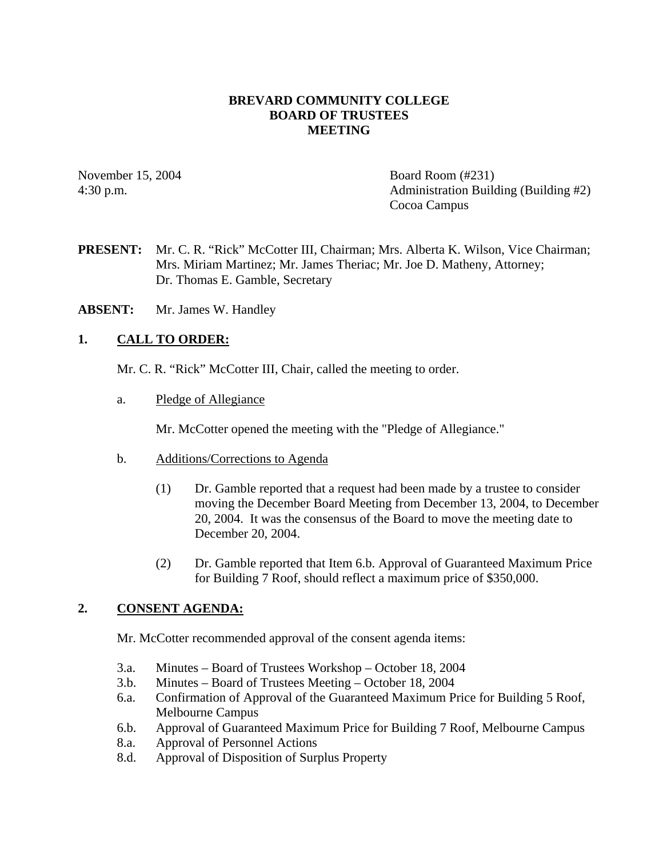## **BREVARD COMMUNITY COLLEGE BOARD OF TRUSTEES MEETING**

November 15, 2004 Board Room (#231) 4:30 p.m. Administration Building (Building #2) Cocoa Campus

- **PRESENT:** Mr. C. R. "Rick" McCotter III, Chairman; Mrs. Alberta K. Wilson, Vice Chairman; Mrs. Miriam Martinez; Mr. James Theriac; Mr. Joe D. Matheny, Attorney; Dr. Thomas E. Gamble, Secretary
- **ABSENT:** Mr. James W. Handley

## **1. CALL TO ORDER:**

- Mr. C. R. "Rick" McCotter III, Chair, called the meeting to order.
- a. Pledge of Allegiance

Mr. McCotter opened the meeting with the "Pledge of Allegiance."

- b. Additions/Corrections to Agenda
	- (1) Dr. Gamble reported that a request had been made by a trustee to consider moving the December Board Meeting from December 13, 2004, to December 20, 2004. It was the consensus of the Board to move the meeting date to December 20, 2004.
	- (2) Dr. Gamble reported that Item 6.b. Approval of Guaranteed Maximum Price for Building 7 Roof, should reflect a maximum price of \$350,000.

## **2. CONSENT AGENDA:**

Mr. McCotter recommended approval of the consent agenda items:

- 3.a. Minutes Board of Trustees Workshop October 18, 2004
- 3.b. Minutes Board of Trustees Meeting October 18, 2004
- 6.a. Confirmation of Approval of the Guaranteed Maximum Price for Building 5 Roof, Melbourne Campus
- 6.b. Approval of Guaranteed Maximum Price for Building 7 Roof, Melbourne Campus
- 8.a. Approval of Personnel Actions
- 8.d. Approval of Disposition of Surplus Property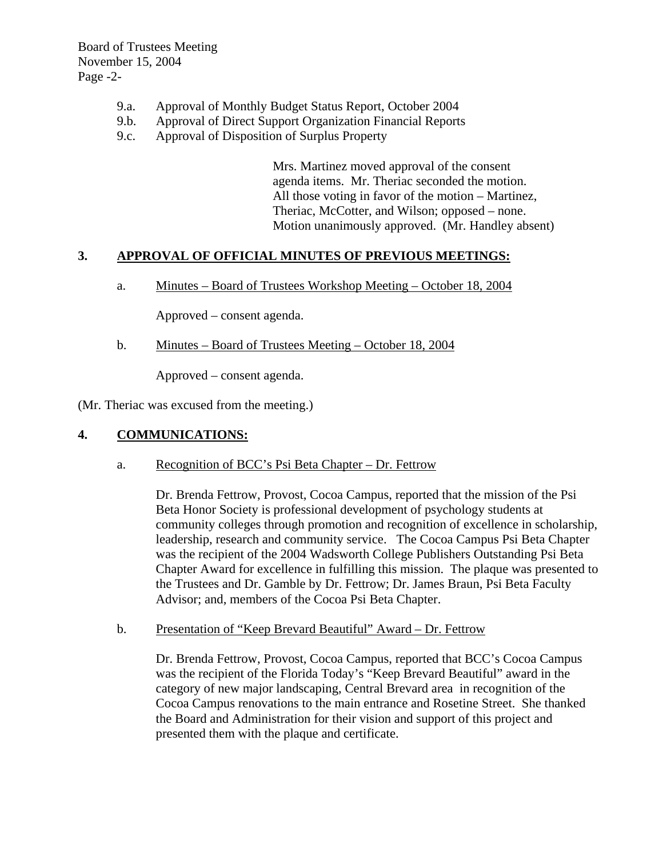Board of Trustees Meeting November 15, 2004 Page -2-

- 9.a. Approval of Monthly Budget Status Report, October 2004
- 9.b. Approval of Direct Support Organization Financial Reports
- 9.c. Approval of Disposition of Surplus Property

Mrs. Martinez moved approval of the consent agenda items. Mr. Theriac seconded the motion. All those voting in favor of the motion – Martinez, Theriac, McCotter, and Wilson; opposed – none. Motion unanimously approved. (Mr. Handley absent)

#### **3. APPROVAL OF OFFICIAL MINUTES OF PREVIOUS MEETINGS:**

a. Minutes – Board of Trustees Workshop Meeting – October 18, 2004

Approved – consent agenda.

b. Minutes – Board of Trustees Meeting – October 18, 2004

Approved – consent agenda.

(Mr. Theriac was excused from the meeting.)

## **4. COMMUNICATIONS:**

a. Recognition of BCC's Psi Beta Chapter – Dr. Fettrow

Dr. Brenda Fettrow, Provost, Cocoa Campus, reported that the mission of the Psi Beta Honor Society is professional development of psychology students at community colleges through promotion and recognition of excellence in scholarship, leadership, research and community service. The Cocoa Campus Psi Beta Chapter was the recipient of the 2004 Wadsworth College Publishers Outstanding Psi Beta Chapter Award for excellence in fulfilling this mission. The plaque was presented to the Trustees and Dr. Gamble by Dr. Fettrow; Dr. James Braun, Psi Beta Faculty Advisor; and, members of the Cocoa Psi Beta Chapter.

b. Presentation of "Keep Brevard Beautiful" Award – Dr. Fettrow

Dr. Brenda Fettrow, Provost, Cocoa Campus, reported that BCC's Cocoa Campus was the recipient of the Florida Today's "Keep Brevard Beautiful" award in the category of new major landscaping, Central Brevard area in recognition of the Cocoa Campus renovations to the main entrance and Rosetine Street. She thanked the Board and Administration for their vision and support of this project and presented them with the plaque and certificate.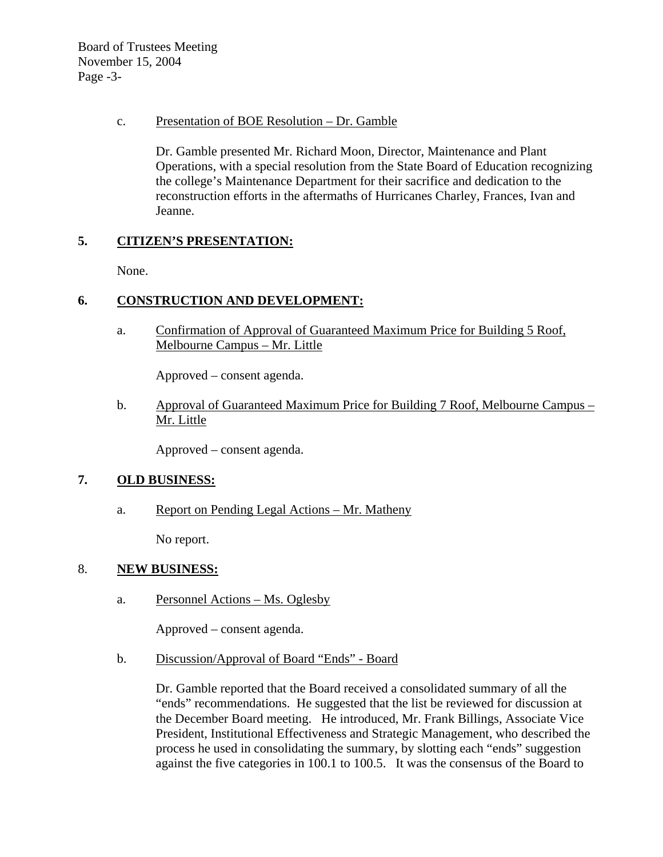Board of Trustees Meeting November 15, 2004 Page -3-

### c. Presentation of BOE Resolution – Dr. Gamble

Dr. Gamble presented Mr. Richard Moon, Director, Maintenance and Plant Operations, with a special resolution from the State Board of Education recognizing the college's Maintenance Department for their sacrifice and dedication to the reconstruction efforts in the aftermaths of Hurricanes Charley, Frances, Ivan and Jeanne.

# **5. CITIZEN'S PRESENTATION:**

None.

# **6. CONSTRUCTION AND DEVELOPMENT:**

a. Confirmation of Approval of Guaranteed Maximum Price for Building 5 Roof, Melbourne Campus – Mr. Little

Approved – consent agenda.

b. Approval of Guaranteed Maximum Price for Building 7 Roof, Melbourne Campus – Mr. Little

Approved – consent agenda.

## **7. OLD BUSINESS:**

a. Report on Pending Legal Actions – Mr. Matheny

No report.

#### 8. **NEW BUSINESS:**

a. Personnel Actions – Ms. Oglesby

Approved – consent agenda.

b. Discussion/Approval of Board "Ends" - Board

Dr. Gamble reported that the Board received a consolidated summary of all the "ends" recommendations. He suggested that the list be reviewed for discussion at the December Board meeting. He introduced, Mr. Frank Billings, Associate Vice President, Institutional Effectiveness and Strategic Management, who described the process he used in consolidating the summary, by slotting each "ends" suggestion against the five categories in 100.1 to 100.5. It was the consensus of the Board to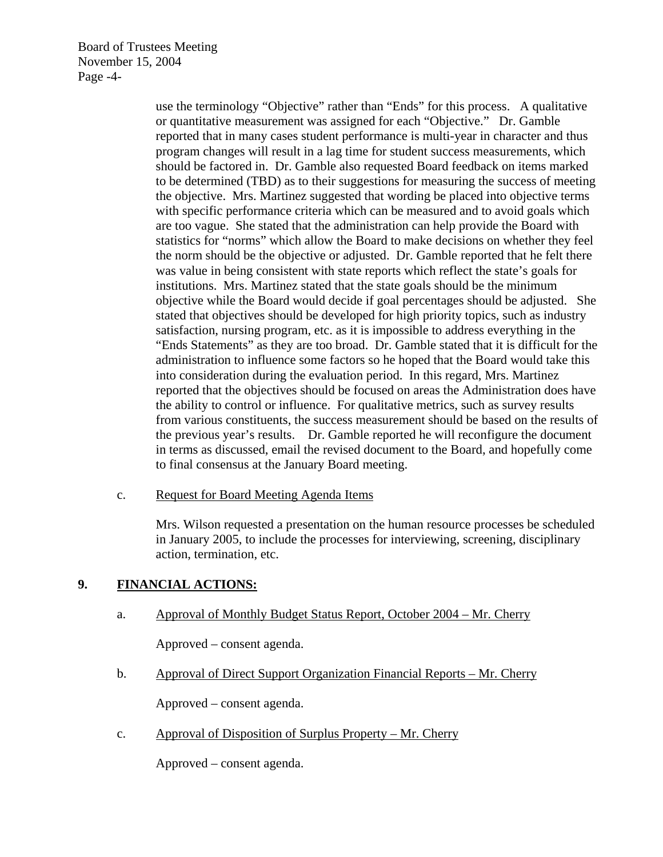Board of Trustees Meeting November 15, 2004 Page -4-

> use the terminology "Objective" rather than "Ends" for this process. A qualitative or quantitative measurement was assigned for each "Objective." Dr. Gamble reported that in many cases student performance is multi-year in character and thus program changes will result in a lag time for student success measurements, which should be factored in. Dr. Gamble also requested Board feedback on items marked to be determined (TBD) as to their suggestions for measuring the success of meeting the objective. Mrs. Martinez suggested that wording be placed into objective terms with specific performance criteria which can be measured and to avoid goals which are too vague. She stated that the administration can help provide the Board with statistics for "norms" which allow the Board to make decisions on whether they feel the norm should be the objective or adjusted. Dr. Gamble reported that he felt there was value in being consistent with state reports which reflect the state's goals for institutions. Mrs. Martinez stated that the state goals should be the minimum objective while the Board would decide if goal percentages should be adjusted. She stated that objectives should be developed for high priority topics, such as industry satisfaction, nursing program, etc. as it is impossible to address everything in the "Ends Statements" as they are too broad. Dr. Gamble stated that it is difficult for the administration to influence some factors so he hoped that the Board would take this into consideration during the evaluation period. In this regard, Mrs. Martinez reported that the objectives should be focused on areas the Administration does have the ability to control or influence. For qualitative metrics, such as survey results from various constituents, the success measurement should be based on the results of the previous year's results. Dr. Gamble reported he will reconfigure the document in terms as discussed, email the revised document to the Board, and hopefully come to final consensus at the January Board meeting.

c. Request for Board Meeting Agenda Items

Mrs. Wilson requested a presentation on the human resource processes be scheduled in January 2005, to include the processes for interviewing, screening, disciplinary action, termination, etc.

## **9. FINANCIAL ACTIONS:**

a. Approval of Monthly Budget Status Report, October 2004 – Mr. Cherry

Approved – consent agenda.

b. Approval of Direct Support Organization Financial Reports – Mr. Cherry

Approved – consent agenda.

c. Approval of Disposition of Surplus Property – Mr. Cherry

Approved – consent agenda.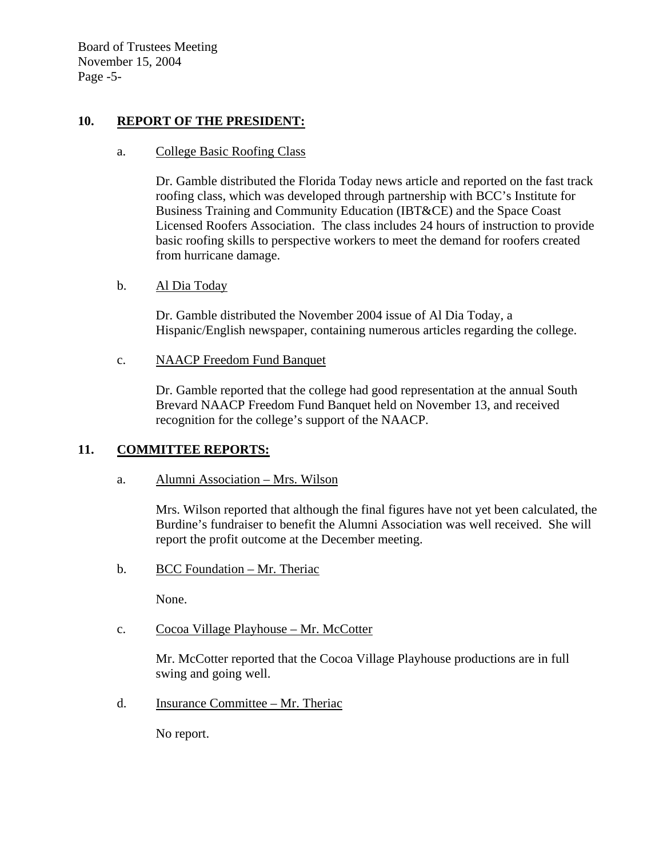Board of Trustees Meeting November 15, 2004 Page -5-

## **10. REPORT OF THE PRESIDENT:**

#### a. College Basic Roofing Class

Dr. Gamble distributed the Florida Today news article and reported on the fast track roofing class, which was developed through partnership with BCC's Institute for Business Training and Community Education (IBT&CE) and the Space Coast Licensed Roofers Association. The class includes 24 hours of instruction to provide basic roofing skills to perspective workers to meet the demand for roofers created from hurricane damage.

#### b. Al Dia Today

Dr. Gamble distributed the November 2004 issue of Al Dia Today, a Hispanic/English newspaper, containing numerous articles regarding the college.

c. NAACP Freedom Fund Banquet

Dr. Gamble reported that the college had good representation at the annual South Brevard NAACP Freedom Fund Banquet held on November 13, and received recognition for the college's support of the NAACP.

#### **11. COMMITTEE REPORTS:**

a. Alumni Association – Mrs. Wilson

Mrs. Wilson reported that although the final figures have not yet been calculated, the Burdine's fundraiser to benefit the Alumni Association was well received. She will report the profit outcome at the December meeting.

b. BCC Foundation – Mr. Theriac

None.

c. Cocoa Village Playhouse – Mr. McCotter

Mr. McCotter reported that the Cocoa Village Playhouse productions are in full swing and going well.

d. Insurance Committee – Mr. Theriac

No report.